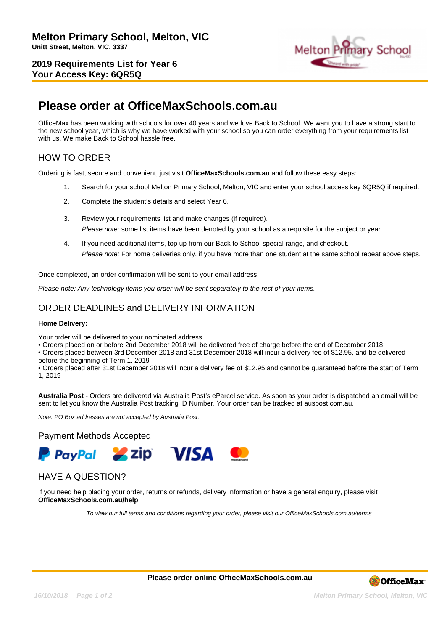**2019 Requirements List for Year 6 Your Access Key: 6QR5Q**



# **Please order at OfficeMaxSchools.com.au**

OfficeMax has been working with schools for over 40 years and we love Back to School. We want you to have a strong start to the new school year, which is why we have worked with your school so you can order everything from your requirements list with us. We make Back to School hassle free.

## HOW TO ORDER

Ordering is fast, secure and convenient, just visit **OfficeMaxSchools.com.au** and follow these easy steps:

- 1. Search for your school Melton Primary School, Melton, VIC and enter your school access key 6QR5Q if required.
- 2. Complete the student's details and select Year 6.
- 3. Review your requirements list and make changes (if required). Please note: some list items have been denoted by your school as a requisite for the subject or year.
- 4. If you need additional items, top up from our Back to School special range, and checkout. Please note: For home deliveries only, if you have more than one student at the same school repeat above steps.

Once completed, an order confirmation will be sent to your email address.

Please note: Any technology items you order will be sent separately to the rest of your items.

## ORDER DEADLINES and DELIVERY INFORMATION

#### **Home Delivery:**

Your order will be delivered to your nominated address.

• Orders placed on or before 2nd December 2018 will be delivered free of charge before the end of December 2018

• Orders placed between 3rd December 2018 and 31st December 2018 will incur a delivery fee of \$12.95, and be delivered before the beginning of Term 1, 2019

• Orders placed after 31st December 2018 will incur a delivery fee of \$12.95 and cannot be guaranteed before the start of Term 1, 2019

**Australia Post** - Orders are delivered via Australia Post's eParcel service. As soon as your order is dispatched an email will be sent to let you know the Australia Post tracking ID Number. Your order can be tracked at auspost.com.au.

Note: PO Box addresses are not accepted by Australia Post.

### Payment Methods Accepted



## HAVE A QUESTION?

If you need help placing your order, returns or refunds, delivery information or have a general enquiry, please visit **OfficeMaxSchools.com.au/help**

To view our full terms and conditions regarding your order, please visit our OfficeMaxSchools.com.au/terms

**Please order online OfficeMaxSchools.com.au**



**16/10/2018 Page 1 of 2 Melton Primary School, Melton, VIC**